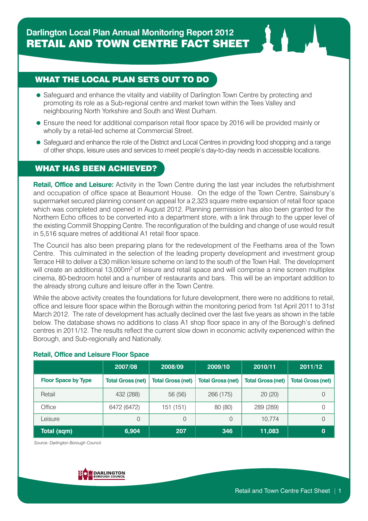

- Safeguard and enhance the vitality and viability of Darlington Town Centre by protecting and promoting its role as a Sub-regional centre and market town within the Tees Valley and neighbouring North Yorkshire and South and West Durham.
- Ensure the need for additional comparison retail floor space by 2016 will be provided mainly or wholly by a retail-led scheme at Commercial Street.
- Safeguard and enhance the role of the District and Local Centres in providing food shopping and a range of other shops, leisure uses and services to meet people's day-to-day needs in accessible locations.

### WHAT HAS BEEN ACHIEVED?

**Retail, Office and Leisure:** Activity in the Town Centre during the last year includes the refurbishment and occupation of office space at Beaumont House. On the edge of the Town Centre, Sainsbury's supermarket secured planning consent on appeal for a 2,323 square metre expansion of retail floor space which was completed and opened in August 2012. Planning permission has also been granted for the Northern Echo offices to be converted into a department store, with a link through to the upper level of the existing Cornmill Shopping Centre. The reconfiguration of the building and change of use would result in 5,516 square metres of additional A1 retail floor space.

The Council has also been preparing plans for the redevelopment of the Feethams area of the Town Centre. This culminated in the selection of the leading property development and investment group Terrace Hill to deliver a £30 million leisure scheme on land to the south of the Town Hall. The development will create an additional 13,000m<sup>2</sup> of leisure and retail space and will comprise a nine screen multiplex cinema, 80-bedroom hotel and a number of restaurants and bars. This will be an important addition to the already strong culture and leisure offer in the Town Centre.

While the above activity creates the foundations for future development, there were no additions to retail, office and leisure floor space within the Borough within the monitoring period from 1st April 2011 to 31st March 2012. The rate of development has actually declined over the last five years as shown in the table below. The database shows no additions to class A1 shop floor space in any of the Borough's defined centres in 2011/12. The results reflect the current slow down in economic activity experienced within the Borough, and Sub-regionally and Nationally.

|                            | 2007/08                  | 2008/09                  | 2009/10                  | 2010/11                  | 2011/12                  |  |
|----------------------------|--------------------------|--------------------------|--------------------------|--------------------------|--------------------------|--|
| <b>Floor Space by Type</b> | <b>Total Gross (net)</b> | <b>Total Gross (net)</b> | <b>Total Gross (net)</b> | <b>Total Gross (net)</b> | <b>Total Gross (net)</b> |  |
| Retail                     | 432 (288)                | 56 (56)                  | 266 (175)                | 20(20)                   | 0                        |  |
| Office                     | 6472 (6472)              | 151 (151)                | 80 (80)                  | 289 (289)                |                          |  |
| Leisure                    | 0                        |                          | 0                        | 10.774                   |                          |  |
| Total (sqm)                | 6,904                    | 207                      | 346                      | 11,083                   | 0                        |  |

#### **Retail, Office and Leisure Floor Space**

*Source: Darlington Borough Council.*

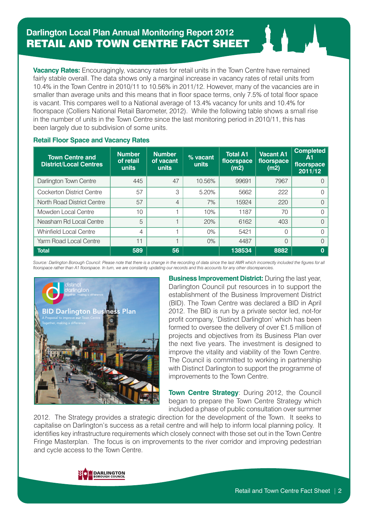**Vacancy Rates:** Encouragingly, vacancy rates for retail units in the Town Centre have remained fairly stable overall. The data shows only a marginal increase in vacancy rates of retail units from 10.4% in the Town Centre in 2010/11 to 10.56% in 2011/12. However, many of the vacancies are in smaller than average units and this means that in floor space terms, only 7.5% of total floor space is vacant. This compares well to a National average of 13.4% vacancy for units and 10.4% for floorspace (Colliers National Retail Barometer, 2012). While the following table shows a small rise in the number of units in the Town Centre since the last monitoring period in 2010/11, this has been largely due to subdivision of some units.

| <b>Town Centre and</b><br><b>District/Local Centres</b> | <b>Number</b><br>of retail<br>units | <b>Number</b><br>of vacant<br>units | % vacant<br>units | <b>Total A1</b><br>floorspace<br>(m2) | <b>Vacant A1</b><br>floorspace<br>(m2) | <b>Completed</b><br>А1<br>floorspace<br>2011/12 |
|---------------------------------------------------------|-------------------------------------|-------------------------------------|-------------------|---------------------------------------|----------------------------------------|-------------------------------------------------|
| Darlington Town Centre                                  | 445                                 | 47                                  | 10.56%            | 99691                                 | 7967                                   | $\left( \right)$                                |
| Cockerton District Centre                               | 57                                  | 3                                   | 5.20%             | 5662                                  | 222                                    | $\Omega$                                        |
| North Road District Centre                              | 57                                  | $\overline{4}$                      | 7%                | 15924                                 | 220                                    | $\Omega$                                        |
| Mowden Local Centre                                     | 10                                  | ᆟ                                   | 10%               | 1187                                  | 70                                     | $\Omega$                                        |
| Neasham Rd Local Centre                                 | 5                                   | ᆟ                                   | 20%               | 6162                                  | 403                                    | $\Omega$                                        |
| <b>Whinfield Local Centre</b>                           | 4                                   | и                                   | $0\%$             | 5421                                  | $\Omega$                               | $\Omega$                                        |
| Yarm Road Local Centre                                  | 11                                  | ᆟ                                   | 0%                | 4487                                  | $\Omega$                               | $\Omega$                                        |
| <b>Total</b>                                            | 589                                 | 56                                  |                   | 138534                                | 8882                                   | 0                                               |

#### **Retail Floor Space and Vacancy Rates**

Source: Darlington Borough Council: Please note that there is a change in the recording of data since the last AMR which incorrectly included the figures for all floorspace rather than A1 floorspace. In turn, we are constantly updating our records and this accounts for any other discrepancies.



**Business Improvement District:** During the last year, Darlington Council put resources in to support the establishment of the Business Improvement District (BID). The Town Centre was declared a BID in April 2012. The BID is run by a private sector led, not-for profit company, 'Distinct Darlington' which has been formed to oversee the delivery of over £1.5 million of projects and objectives from its Business Plan over the next five years. The investment is designed to improve the vitality and viability of the Town Centre. The Council is committed to working in partnership with Distinct Darlington to support the programme of improvements to the Town Centre.

**Town Centre Strategy**: During 2012, the Council began to prepare the Town Centre Strategy which included a phase of public consultation over summer

2012. The Strategy provides a strategic direction for the development of the Town. It seeks to capitalise on Darlington's success as a retail centre and will help to inform local planning policy. It identifies key infrastructure requirements which closely connect with those set out in the Town Centre Fringe Masterplan. The focus is on improvements to the river corridor and improving pedestrian and cycle access to the Town Centre.